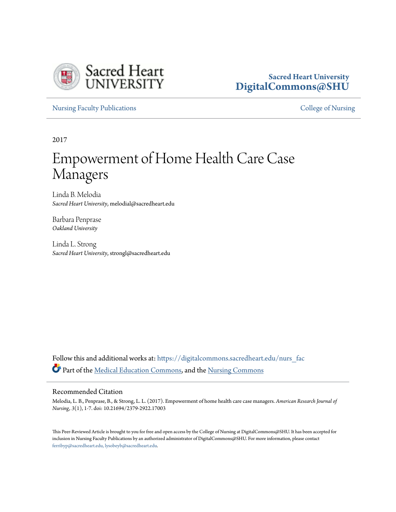

# **Sacred Heart University [DigitalCommons@SHU](https://digitalcommons.sacredheart.edu?utm_source=digitalcommons.sacredheart.edu%2Fnurs_fac%2F156&utm_medium=PDF&utm_campaign=PDFCoverPages)**

[Nursing Faculty Publications](https://digitalcommons.sacredheart.edu/nurs_fac?utm_source=digitalcommons.sacredheart.edu%2Fnurs_fac%2F156&utm_medium=PDF&utm_campaign=PDFCoverPages) **[College of Nursing](https://digitalcommons.sacredheart.edu/nurs?utm_source=digitalcommons.sacredheart.edu%2Fnurs_fac%2F156&utm_medium=PDF&utm_campaign=PDFCoverPages)** 

2017

# Empowerment of Home Health Care Case Managers

Linda B. Melodia *Sacred Heart University*, melodial@sacredheart.edu

Barbara Penprase *Oakland University*

Linda L. Strong *Sacred Heart University*, strongl@sacredheart.edu

Follow this and additional works at: [https://digitalcommons.sacredheart.edu/nurs\\_fac](https://digitalcommons.sacredheart.edu/nurs_fac?utm_source=digitalcommons.sacredheart.edu%2Fnurs_fac%2F156&utm_medium=PDF&utm_campaign=PDFCoverPages) Part of the [Medical Education Commons,](http://network.bepress.com/hgg/discipline/1125?utm_source=digitalcommons.sacredheart.edu%2Fnurs_fac%2F156&utm_medium=PDF&utm_campaign=PDFCoverPages) and the [Nursing Commons](http://network.bepress.com/hgg/discipline/718?utm_source=digitalcommons.sacredheart.edu%2Fnurs_fac%2F156&utm_medium=PDF&utm_campaign=PDFCoverPages)

### Recommended Citation

Melodia, L. B., Penprase, B., & Strong, L. L. (2017). Empowerment of home health care case managers. *American Research Journal of Nursing, 3*(1), 1-7. doi: 10.21694/2379-2922.17003

This Peer-Reviewed Article is brought to you for free and open access by the College of Nursing at DigitalCommons@SHU. It has been accepted for inclusion in Nursing Faculty Publications by an authorized administrator of DigitalCommons@SHU. For more information, please contact [ferribyp@sacredheart.edu, lysobeyb@sacredheart.edu.](mailto:ferribyp@sacredheart.edu,%20lysobeyb@sacredheart.edu)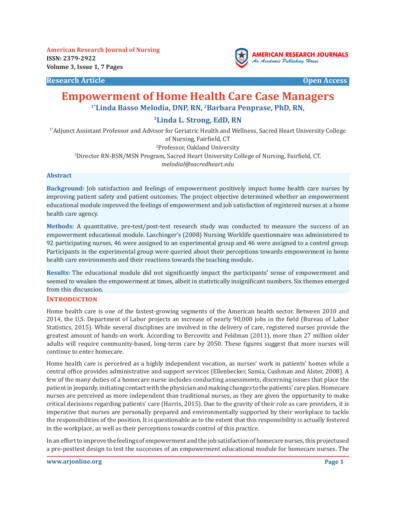**Research Article Open Access**



# **Empowerment of Home Health Care Case Managers 1\*Linda Basso Melodia, DNP, RN, 2Barbara Penprase, PhD, RN,**

# **3Linda L. Strong, EdD, RN**

1\*Adjunct Assistant Professor and Advisor for Geriatric Health and Wellness, Sacred Heart University College of Nursing, Fairfield, CT 2 Professor, Oakland University 3 Director RN-BSN/MSN Program, Sacred Heart University College of Nursing, Fairfield, CT.

*melodial@sacredheart.edu*

#### **Abstract**

**Background:** Job satisfaction and feelings of empowerment positively impact home health care nurses by improving patient safety and patient outcomes. The project objective determined whether an empowerment educational module improved the feelings of empowerment and job satisfaction of registered nurses at a home health care agency.

**Methods:** A quantitative, pre-test/post-test research study was conducted to measure the success of an empowerment educational module. Laschinger's (2008) Nursing Worklife questionnaire was administered to 92 participating nurses, 46 were assigned to an experimental group and 46 were assigned to a control group. Participants in the experimental group were queried about their perceptions towards empowerment in home health care environments and their reactions towards the teaching module.

**Results:** The educational module did not significantly impact the participants' sense of empowerment and seemed to weaken the empowerment at times, albeit in statistically insignificant numbers. Six themes emerged from this discussion.

#### **INTRODUCTION**

Home health care is one of the fastest-growing segments of the American health sector. Between 2010 and 2014, the U.S. Department of Labor projects an increase of nearly 90,000 jobs in the field (Bureau of Labor Statistics, 2015). While several disciplines are involved in the delivery of care, registered nurses provide the greatest amount of hands-on work. According to Bercovitz and Feldman (2011), more than 27 million older adults will require community-based, long-term care by 2050. These figures suggest that more nurses will continue to enter homecare.

Home health care is perceived as a highly independent vocation, as nurses' work in patients' homes while a central office provides administrative and support services (Ellenbecker, Samia, Cushman and Alster, 2008). A few of the many duties of a homecare nurse includes conducting assessments, discerning issues that place the patient in jeopardy, initiating contact with the physician and making changes to the patients' care plan. Homecare nurses are perceived as more independent than traditional nurses, as they are given the opportunity to make critical decisions regarding patients' care (Harris, 2015). Due to the gravity of their role as care providers, it is imperative that nurses are personally prepared and environmentally supported by their workplace to tackle the responsibilities of the position. It is questionable as to the extent that this responsibility is actually fostered in the workplace, as well as their perceptions towards control of this practice.

In an effort to improve the feelings of empowerment and the job satisfaction of homecare nurses, this projectused a pre-posttest design to test the successes of an empowerment educational module for homecare nurses. The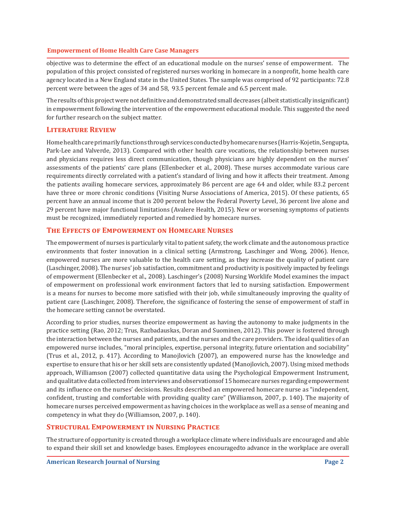objective was to determine the effect of an educational module on the nurses' sense of empowerment. The population of this project consisted of registered nurses working in homecare in a nonprofit, home health care agency located in a New England state in the United States. The sample was comprised of 92 participants: 72.8 percent were between the ages of 34 and 58, 93.5 percent female and 6.5 percent male.

The results of this project were not definitive and demonstrated small decreases (albeit statistically insignificant) in empowerment following the intervention of the empowerment educational module. This suggested the need for further research on the subject matter.

# **Literature Review**

Home health care primarily functions through services conducted by homecare nurses (Harris-Kojetin, Sengupta, Park-Lee and Valverde, 2013). Compared with other health care vocations, the relationship between nurses and physicians requires less direct communication, though physicians are highly dependent on the nurses' assessments of the patients' care plans (Ellenbecker et al., 2008). These nurses accommodate various care requirements directly correlated with a patient's standard of living and how it affects their treatment. Among the patients availing homecare services, approximately 86 percent are age 64 and older, while 83.2 percent have three or more chronic conditions (Visiting Nurse Associations of America, 2015). Of these patients, 65 percent have an annual income that is 200 percent below the Federal Poverty Level, 36 percent live alone and 29 percent have major functional limitations (Avalere Health, 2015). New or worsening symptoms of patients must be recognized, immediately reported and remedied by homecare nurses.

# **The Effects of Empowerment on Homecare Nurses**

The empowerment of nurses is particularly vital to patient safety, the work climate and the autonomous practice environments that foster innovation in a clinical setting (Armstrong, Laschinger and Wong, 2006). Hence, empowered nurses are more valuable to the health care setting, as they increase the quality of patient care (Laschinger, 2008). The nurses' job satisfaction, commitment and productivity is positively impacted by feelings of empowerment (Ellenbecker et al., 2008). Laschinger's (2008) Nursing Worklife Model examines the impact of empowerment on professional work environment factors that led to nursing satisfaction. Empowerment is a means for nurses to become more satisfied with their job, while simultaneously improving the quality of patient care (Laschinger, 2008). Therefore, the significance of fostering the sense of empowerment of staff in the homecare setting cannot be overstated.

According to prior studies, nurses theorize empowerment as having the autonomy to make judgments in the practice setting (Rao, 2012; Trus, Razbadauskas, Doran and Suominen, 2012). This power is fostered through the interaction between the nurses and patients, and the nurses and the care providers. The ideal qualities of an empowered nurse includes, "moral principles, expertise, personal integrity, future orientation and sociability" (Trus et al., 2012, p. 417). According to Manojlovich (2007), an empowered nurse has the knowledge and expertise to ensure that his or her skill sets are consistently updated (Manojlovich, 2007). Using mixed methods approach, Williamson (2007) collected quantitative data using the Psychological Empowerment Instrument, and qualitative data collected from interviews and observationsof 15 homecare nurses regarding empowerment and its influence on the nurses' decisions. Results described an empowered homecare nurse as "independent, confident, trusting and comfortable with providing quality care" (Williamson, 2007, p. 140). The majority of homecare nurses perceived empowerment as having choices in the workplace as well as a sense of meaning and competency in what they do (Williamson, 2007, p. 140).

# **Structural Empowerment in Nursing Practice**

The structure of opportunity is created through a workplace climate where individuals are encouraged and able to expand their skill set and knowledge bases. Employees encouragedto advance in the workplace are overall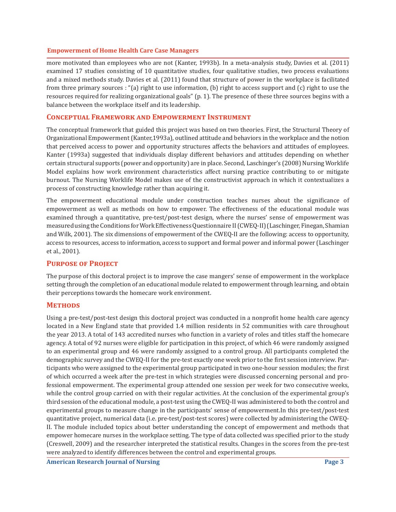more motivated than employees who are not (Kanter, 1993b). In a meta-analysis study, Davies et al. (2011) examined 17 studies consisting of 10 quantitative studies, four qualitative studies, two process evaluations and a mixed methods study. Davies et al. (2011) found that structure of power in the workplace is facilitated from three primary sources : "(a) right to use information, (b) right to access support and (c) right to use the resources required for realizing organizational goals" (p. 1). The presence of these three sources begins with a balance between the workplace itself and its leadership.

## **Conceptual Framework and Empowerment Instrument**

The conceptual framework that guided this project was based on two theories. First, the Structural Theory of Organizational Empowerment (Kanter,1993a), outlined attitude and behaviors in the workplace and the notion that perceived access to power and opportunity structures affects the behaviors and attitudes of employees. Kanter (1993a) suggested that individuals display different behaviors and attitudes depending on whether certain structural supports (power and opportunity) are in place. Second, Laschinger's (2008) Nursing Worklife Model explains how work environment characteristics affect nursing practice contributing to or mitigate burnout. The Nursing Worklife Model makes use of the constructivist approach in which it contextualizes a process of constructing knowledge rather than acquiring it.

The empowerment educational module under construction teaches nurses about the significance of empowerment as well as methods on how to empower. The effectiveness of the educational module was examined through a quantitative, pre-test/post-test design, where the nurses' sense of empowerment was measured using the Conditions for Work Effectiveness Questionnaire II (CWEQ-II) (Laschinger, Finegan, Shamian and Wilk, 2001). The six dimensions of empowerment of the CWEQ-II are the following: access to opportunity, access to resources, access to information, access to support and formal power and informal power (Laschinger et al., 2001).

# **Purpose of Project**

The purpose of this doctoral project is to improve the case mangers' sense of empowerment in the workplace setting through the completion of an educational module related to empowerment through learning, and obtain their perceptions towards the homecare work environment.

# **Methods**

Using a pre-test/post-test design this doctoral project was conducted in a nonprofit home health care agency located in a New England state that provided 1.4 million residents in 52 communities with care throughout the year 2013. A total of 143 accredited nurses who function in a variety of roles and titles staff the homecare agency. A total of 92 nurses were eligible for participation in this project, of which 46 were randomly assigned to an experimental group and 46 were randomly assigned to a control group. All participants completed the demographic survey and the CWEQ-II for the pre-test exactly one week prior to the first session interview. Participants who were assigned to the experimental group participated in two one-hour session modules; the first of which occurred a week after the pre-test in which strategies were discussed concerning personal and professional empowerment. The experimental group attended one session per week for two consecutive weeks, while the control group carried on with their regular activities. At the conclusion of the experimental group's third session of the educational module, a post-test using the CWEQ-II was administered to both the control and experimental groups to measure change in the participants' sense of empowerment.In this pre-test/post-test quantitative project, numerical data (i.e. pre-test/post-test scores) were collected by administering the CWEQ-II. The module included topics about better understanding the concept of empowerment and methods that empower homecare nurses in the workplace setting. The type of data collected was specified prior to the study (Creswell, 2009) and the researcher interpreted the statistical results. Changes in the scores from the pre-test were analyzed to identify differences between the control and experimental groups.

**American Research Journal of Nursing**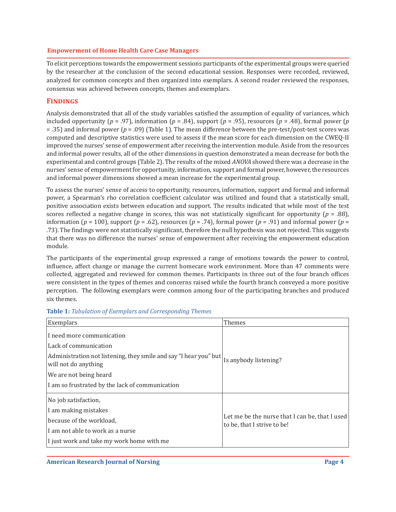To elicit perceptions towards the empowerment sessions participants of the experimental groups were queried by the researcher at the conclusion of the second educational session. Responses were recorded, reviewed, analyzed for common concepts and then organized into exemplars. A second reader reviewed the responses, consensus was achieved between concepts, themes and exemplars.

# **Findings**

Analysis demonstrated that all of the study variables satisfied the assumption of equality of variances, which included opportunity ( $p = .97$ ), information ( $p = .84$ ), support ( $p = .95$ ), resources ( $p = .48$ ), formal power ( $p = .95$ ) = .35) and informal power (*p* = .09) (Table 1). The mean difference between the pre-test/post-test scores was computed and descriptive statistics were used to assess if the mean score for each dimension on the CWEQ-II improved the nurses' sense of empowerment after receiving the intervention module. Aside from the resources and informal power results, all of the other dimensions in question demonstrated a mean decrease for both the experimental and control groups (Table 2). The results of the mixed *ANOVA* showed there was a decrease in the nurses' sense of empowerment for opportunity, information, support and formal power, however, the resources and informal power dimensions showed a mean increase for the experimental group.

To assess the nurses' sense of access to opportunity, resources, information, support and formal and informal power, a Spearman's rho correlation coefficient calculator was utilized and found that a statistically small, positive association exists between education and support. The results indicated that while most of the test scores reflected a negative change in scores, this was not statistically significant for opportunity ( $p = .88$ ), information ( $p = 100$ ), support ( $p = .62$ ), resources ( $p = .74$ ), formal power ( $p = .91$ ) and informal power ( $p = .91$ ) .73). The findings were not statistically significant, therefore the null hypothesis was not rejected. This suggests that there was no difference the nurses' sense of empowerment after receiving the empowerment education module.

The participants of the experimental group expressed a range of emotions towards the power to control, influence, affect change or manage the current homecare work environment. More than 47 comments were collected, aggregated and reviewed for common themes. Participants in three out of the four branch offices were consistent in the types of themes and concerns raised while the fourth branch conveyed a more positive perception. The following exemplars were common among four of the participating branches and produced six themes.

| Exemplars                                                                                 | Themes                                                                        |
|-------------------------------------------------------------------------------------------|-------------------------------------------------------------------------------|
| I need more communication                                                                 |                                                                               |
| Lack of communication                                                                     |                                                                               |
| Administration not listening, they smile and say "I hear you" but<br>will not do anything | Is anybody listening?                                                         |
| We are not being heard                                                                    |                                                                               |
| I am so frustrated by the lack of communication                                           |                                                                               |
| No job satisfaction,                                                                      | Let me be the nurse that I can be, that I used<br>to be, that I strive to be! |
| I am making mistakes                                                                      |                                                                               |
| because of the workload,                                                                  |                                                                               |
| I am not able to work as a nurse                                                          |                                                                               |
| I just work and take my work home with me                                                 |                                                                               |

#### **Table 1:** *Tabulation of Exemplars and Corresponding Themes*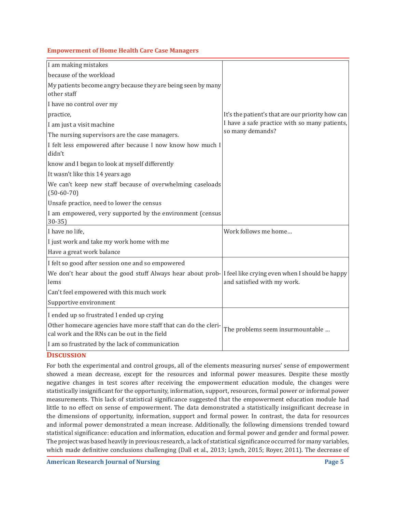| I am making mistakes                                                                                           |                                                  |
|----------------------------------------------------------------------------------------------------------------|--------------------------------------------------|
| because of the workload                                                                                        |                                                  |
| My patients become angry because they are being seen by many                                                   |                                                  |
| other staff                                                                                                    |                                                  |
| I have no control over my                                                                                      |                                                  |
| practice,                                                                                                      | It's the patient's that are our priority how can |
| I am just a visit machine                                                                                      | I have a safe practice with so many patients,    |
| The nursing supervisors are the case managers.                                                                 | so many demands?                                 |
| I felt less empowered after because I now know how much I<br>didn't                                            |                                                  |
| know and I began to look at myself differently                                                                 |                                                  |
| It wasn't like this 14 years ago                                                                               |                                                  |
| We can't keep new staff because of overwhelming caseloads<br>$(50-60-70)$                                      |                                                  |
| Unsafe practice, need to lower the census                                                                      |                                                  |
| I am empowered, very supported by the environment (census<br>$30 - 35$                                         |                                                  |
| I have no life,                                                                                                | Work follows me home                             |
| I just work and take my work home with me                                                                      |                                                  |
| Have a great work balance                                                                                      |                                                  |
| I felt so good after session one and so empowered                                                              |                                                  |
| We don't hear about the good stuff Always hear about prob- I feel like crying even when I should be happy      |                                                  |
| lems                                                                                                           | and satisfied with my work.                      |
| Can't feel empowered with this much work                                                                       |                                                  |
| Supportive environment                                                                                         |                                                  |
| I ended up so frustrated I ended up crying                                                                     |                                                  |
| Other homecare agencies have more staff that can do the cleri-<br>cal work and the RNs can be out in the field | The problems seem insurmountable                 |
| I am so frustrated by the lack of communication                                                                |                                                  |
|                                                                                                                |                                                  |

# **Discussion**

For both the experimental and control groups, all of the elements measuring nurses' sense of empowerment showed a mean decrease, except for the resources and informal power measures. Despite these mostly negative changes in test scores after receiving the empowerment education module, the changes were statistically insignificant for the opportunity, information, support, resources, formal power or informal power measurements. This lack of statistical significance suggested that the empowerment education module had little to no effect on sense of empowerment. The data demonstrated a statistically insignificant decrease in the dimensions of opportunity, information, support and formal power. In contrast, the data for resources and informal power demonstrated a mean increase. Additionally, the following dimensions trended toward statistical significance: education and information, education and formal power and gender and formal power. The project was based heavily in previous research, a lack of statistical significance occurred for many variables, which made definitive conclusions challenging (Dall et al., 2013; Lynch, 2015; Royer, 2011). The decrease of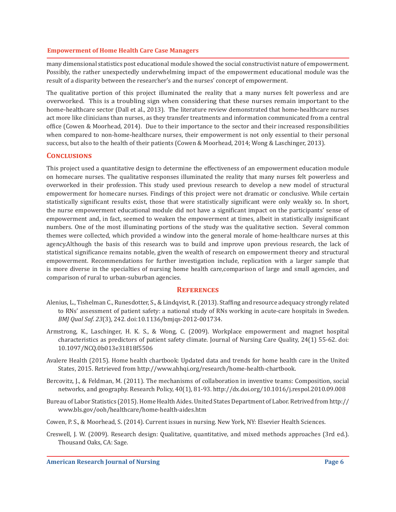many dimensional statistics post educational module showed the social constructivist nature of empowerment. Possibly, the rather unexpectedly underwhelming impact of the empowerment educational module was the result of a disparity between the researcher's and the nurses' concept of empowerment.

The qualitative portion of this project illuminated the reality that a many nurses felt powerless and are overworked. This is a troubling sign when considering that these nurses remain important to the home-healthcare sector (Dall et al., 2013). The literature review demonstrated that home-healthcare nurses act more like clinicians than nurses, as they transfer treatments and information communicated from a central office (Cowen & Moorhead, 2014). Due to their importance to the sector and their increased responsibilities when compared to non-home-healthcare nurses, their empowerment is not only essential to their personal success, but also to the health of their patients (Cowen & Moorhead, 2014; Wong & Laschinger, 2013).

# **Conclusions**

This project used a quantitative design to determine the effectiveness of an empowerment education module on homecare nurses. The qualitative responses illuminated the reality that many nurses felt powerless and overworked in their profession. This study used previous research to develop a new model of structural empowerment for homecare nurses. Findings of this project were not dramatic or conclusive. While certain statistically significant results exist, those that were statistically significant were only weakly so. In short, the nurse empowerment educational module did not have a significant impact on the participants' sense of empowerment and, in fact, seemed to weaken the empowerment at times, albeit in statistically insignificant numbers. One of the most illuminating portions of the study was the qualitative section. Several common themes were collected, which provided a window into the general morale of home-healthcare nurses at this agency.Although the basis of this research was to build and improve upon previous research, the lack of statistical significance remains notable, given the wealth of research on empowerment theory and structural empowerment. Recommendations for further investigation include, replication with a larger sample that is more diverse in the specialties of nursing home health care,comparison of large and small agencies, and comparison of rural to urban-suburban agencies.

#### **References**

- Alenius, L., Tishelman C., Runesdotter, S., & Lindqvist, R. (2013). Staffing and resource adequacy strongly related to RNs' assessment of patient safety: a national study of RNs working in acute-care hospitals in Sweden. *BMJ Qual Saf*. *23*(3), 242. doi:10.1136/bmjqs-2012-001734.
- Armstrong, K., Laschinger, H. K. S., & Wong, C. (2009). Workplace empowerment and magnet hospital characteristics as predictors of patient safety climate. Journal of Nursing Care Quality, 24(1) 55-62. doi: 10.1097/NCQ.0b013e31818f5506
- Avalere Health (2015). Home health chartbook: Updated data and trends for home health care in the United States, 2015. Retrieved from http://www.ahhqi.org/research/home-health-chartbook.
- Bercovitz, J., & Feldman, M. (2011). The mechanisms of collaboration in inventive teams: Composition, social networks, and geography. Research Policy, 40(1), 81-93. http://dx.doi.org/10.1016/j.respol.2010.09.008
- Bureau of Labor Statistics (2015). Home Health Aides. United States Department of Labor. Retrived from http:// www.bls.gov/ooh/healthcare/home-health-aides.htm
- Cowen, P. S., & Moorhead, S. (2014). Current issues in nursing. New York, NY: Elsevier Health Sciences.
- Creswell, J. W. (2009). Research design: Qualitative, quantitative, and mixed methods approaches (3rd ed.). Thousand Oaks, CA: Sage.